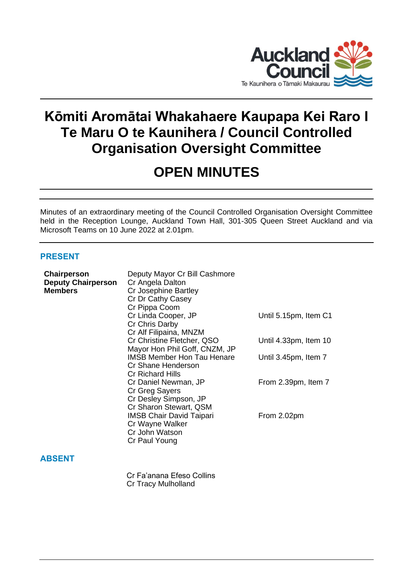

# **Kōmiti Aromātai Whakahaere Kaupapa Kei Raro I Te Maru O te Kaunihera / Council Controlled Organisation Oversight Committee**

# **OPEN MINUTES**

Minutes of an extraordinary meeting of the Council Controlled Organisation Oversight Committee held in the Reception Lounge, Auckland Town Hall, 301-305 Queen Street Auckland and via Microsoft Teams on 10 June 2022 at 2.01pm.

## **PRESENT**

| Chairperson<br><b>Deputy Chairperson</b><br><b>Members</b> | Deputy Mayor Cr Bill Cashmore<br>Cr Angela Dalton<br>Cr Josephine Bartley |                       |
|------------------------------------------------------------|---------------------------------------------------------------------------|-----------------------|
|                                                            | Cr Dr Cathy Casey                                                         |                       |
|                                                            | Cr Pippa Coom                                                             |                       |
|                                                            | Cr Linda Cooper, JP                                                       | Until 5.15pm, Item C1 |
|                                                            | Cr Chris Darby<br>Cr Alf Filipaina, MNZM                                  |                       |
|                                                            | Cr Christine Fletcher, QSO                                                | Until 4.33pm, Item 10 |
|                                                            | Mayor Hon Phil Goff, CNZM, JP                                             |                       |
|                                                            | <b>IMSB Member Hon Tau Henare</b>                                         | Until 3.45pm, Item 7  |
|                                                            | Cr Shane Henderson                                                        |                       |
|                                                            | <b>Cr Richard Hills</b><br>Cr Daniel Newman, JP                           | From 2.39pm, Item 7   |
|                                                            | Cr Greg Sayers                                                            |                       |
|                                                            | Cr Desley Simpson, JP                                                     |                       |
|                                                            | Cr Sharon Stewart, QSM                                                    |                       |
|                                                            | <b>IMSB Chair David Taipari</b>                                           | From 2.02pm           |
|                                                            | Cr Wayne Walker<br>Cr John Watson                                         |                       |
|                                                            | Cr Paul Young                                                             |                       |
|                                                            |                                                                           |                       |
| <b>ABSENT</b>                                              |                                                                           |                       |
|                                                            | Cr Fa'anana Efeso Collins                                                 |                       |

Cr Tracy Mulholland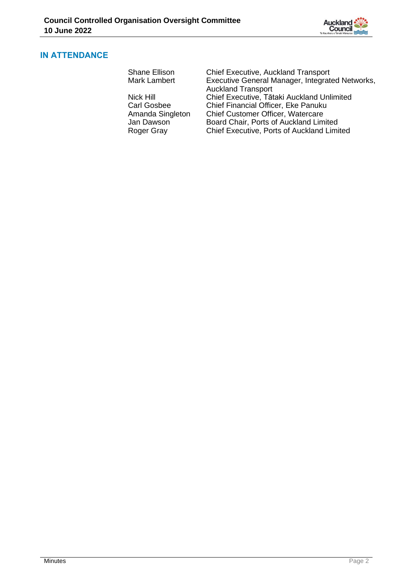

## **IN ATTENDANCE**

| Shane Ellison    | <b>Chief Executive, Auckland Transport</b>      |  |
|------------------|-------------------------------------------------|--|
| Mark Lambert     | Executive General Manager, Integrated Networks, |  |
|                  | <b>Auckland Transport</b>                       |  |
| Nick Hill        | Chief Executive, Tātaki Auckland Unlimited      |  |
| Carl Gosbee      | Chief Financial Officer, Eke Panuku             |  |
| Amanda Singleton | Chief Customer Officer, Watercare               |  |
| Jan Dawson       | Board Chair, Ports of Auckland Limited          |  |
| Roger Gray       | Chief Executive, Ports of Auckland Limited      |  |
|                  |                                                 |  |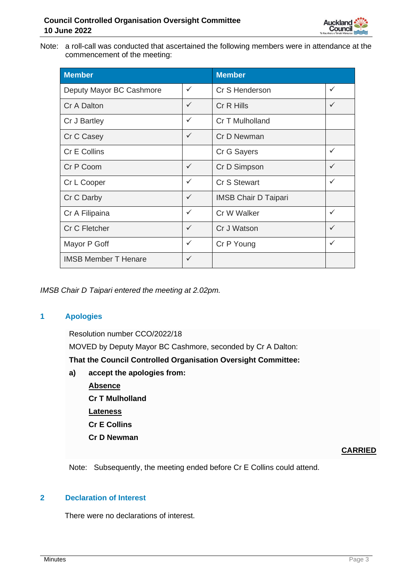

Note: a roll-call was conducted that ascertained the following members were in attendance at the commencement of the meeting:

| <b>Member</b>               | <b>Member</b> |                             |              |
|-----------------------------|---------------|-----------------------------|--------------|
| Deputy Mayor BC Cashmore    | ✓             | Cr S Henderson              | $\checkmark$ |
| Cr A Dalton                 | $\checkmark$  | Cr R Hills                  | $\checkmark$ |
| Cr J Bartley                | ✓             | Cr T Mulholland             |              |
| Cr C Casey                  | $\checkmark$  | Cr D Newman                 |              |
| Cr E Collins                |               | Cr G Sayers                 | $\checkmark$ |
| Cr P Coom                   | ✓             | Cr D Simpson                | $\checkmark$ |
| Cr L Cooper                 | ✓             | Cr S Stewart                | $\checkmark$ |
| Cr C Darby                  | $\checkmark$  | <b>IMSB Chair D Taipari</b> |              |
| Cr A Filipaina              | ✓             | Cr W Walker                 | $\checkmark$ |
| Cr C Fletcher               | ✓             | Cr J Watson                 | $\checkmark$ |
| Mayor P Goff                | ✓             | Cr P Young                  | $\checkmark$ |
| <b>IMSB Member T Henare</b> | $\checkmark$  |                             |              |

*IMSB Chair D Taipari entered the meeting at 2.02pm.*

## **1 Apologies**

Resolution number CCO/2022/18 MOVED by Deputy Mayor BC Cashmore, seconded by Cr A Dalton: **That the Council Controlled Organisation Oversight Committee: a) accept the apologies from: Absence Cr T Mulholland Lateness Cr E Collins Cr D Newman**

## **CARRIED**

Note: Subsequently, the meeting ended before Cr E Collins could attend.

# **2 Declaration of Interest**

There were no declarations of interest.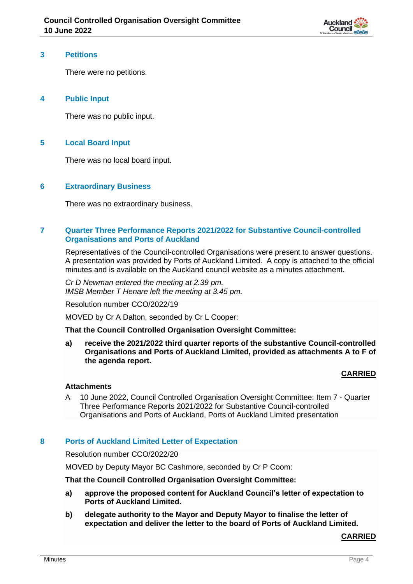

#### **3 Petitions**

There were no petitions.

## **4 Public Input**

There was no public input.

## **5 Local Board Input**

There was no local board input.

### **6 Extraordinary Business**

There was no extraordinary business.

## **7 Quarter Three Performance Reports 2021/2022 for Substantive Council-controlled Organisations and Ports of Auckland**

Representatives of the Council-controlled Organisations were present to answer questions. A presentation was provided by Ports of Auckland Limited. A copy is attached to the official minutes and is available on the Auckland council website as a minutes attachment.

*Cr D Newman entered the meeting at 2.39 pm. IMSB Member T Henare left the meeting at 3.45 pm.*

Resolution number CCO/2022/19

MOVED by Cr A Dalton, seconded by Cr L Cooper:

**That the Council Controlled Organisation Oversight Committee:**

**a) receive the 2021/2022 third quarter reports of the substantive Council-controlled Organisations and Ports of Auckland Limited, provided as attachments A to F of the agenda report.**

## **CARRIED**

#### **Attachments**

A 10 June 2022, Council Controlled Organisation Oversight Committee: Item 7 - Quarter Three Performance Reports 2021/2022 for Substantive Council-controlled Organisations and Ports of Auckland, Ports of Auckland Limited presentation

#### **8 Ports of Auckland Limited Letter of Expectation**

Resolution number CCO/2022/20

MOVED by Deputy Mayor BC Cashmore, seconded by Cr P Coom:

#### **That the Council Controlled Organisation Oversight Committee:**

- **a) approve the proposed content for Auckland Council's letter of expectation to Ports of Auckland Limited.**
- **b) delegate authority to the Mayor and Deputy Mayor to finalise the letter of expectation and deliver the letter to the board of Ports of Auckland Limited.**

#### **CARRIED**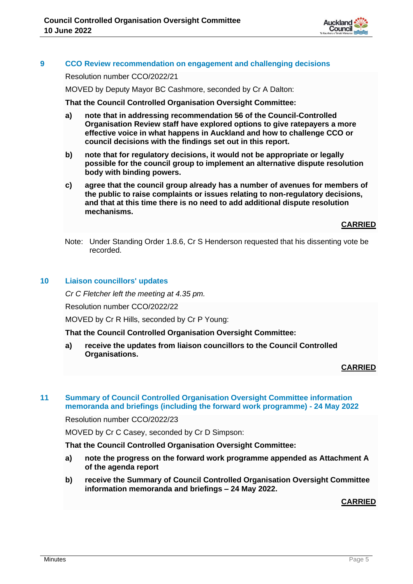

## **9 CCO Review recommendation on engagement and challenging decisions**

Resolution number CCO/2022/21

MOVED by Deputy Mayor BC Cashmore, seconded by Cr A Dalton:

**That the Council Controlled Organisation Oversight Committee:**

- **a) note that in addressing recommendation 56 of the Council-Controlled Organisation Review staff have explored options to give ratepayers a more effective voice in what happens in Auckland and how to challenge CCO or council decisions with the findings set out in this report.**
- **b) note that for regulatory decisions, it would not be appropriate or legally possible for the council group to implement an alternative dispute resolution body with binding powers.**
- **c) agree that the council group already has a number of avenues for members of the public to raise complaints or issues relating to non-regulatory decisions, and that at this time there is no need to add additional dispute resolution mechanisms.**

**CARRIED**

Note: Under Standing Order 1.8.6, Cr S Henderson requested that his dissenting vote be recorded.

#### **10 Liaison councillors' updates**

*Cr C Fletcher left the meeting at 4.35 pm.*

Resolution number CCO/2022/22

MOVED by Cr R Hills, seconded by Cr P Young:

**That the Council Controlled Organisation Oversight Committee:**

**a) receive the updates from liaison councillors to the Council Controlled Organisations.** 

**CARRIED**

#### **11 Summary of Council Controlled Organisation Oversight Committee information memoranda and briefings (including the forward work programme) - 24 May 2022**

Resolution number CCO/2022/23

MOVED by Cr C Casey, seconded by Cr D Simpson:

#### **That the Council Controlled Organisation Oversight Committee:**

- **a) note the progress on the forward work programme appended as Attachment A of the agenda report**
- **b) receive the Summary of Council Controlled Organisation Oversight Committee information memoranda and briefings – 24 May 2022.**

#### **CARRIED**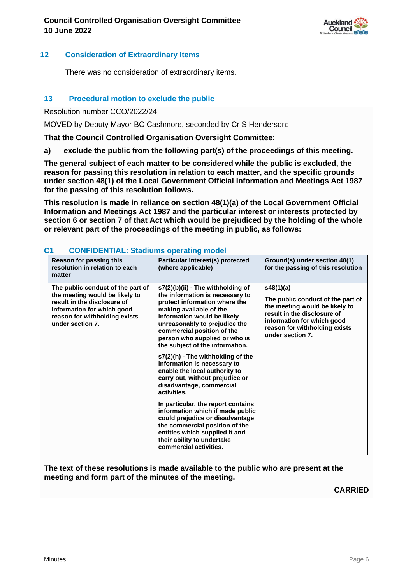

## **12 Consideration of Extraordinary Items**

There was no consideration of extraordinary items.

## **13 Procedural motion to exclude the public**

Resolution number CCO/2022/24

MOVED by Deputy Mayor BC Cashmore, seconded by Cr S Henderson:

**That the Council Controlled Organisation Oversight Committee:**

**a) exclude the public from the following part(s) of the proceedings of this meeting.**

**The general subject of each matter to be considered while the public is excluded, the reason for passing this resolution in relation to each matter, and the specific grounds under section 48(1) of the Local Government Official Information and Meetings Act 1987 for the passing of this resolution follows.**

**This resolution is made in reliance on section 48(1)(a) of the Local Government Official Information and Meetings Act 1987 and the particular interest or interests protected by section 6 or section 7 of that Act which would be prejudiced by the holding of the whole or relevant part of the proceedings of the meeting in public, as follows:**

| Reason for passing this<br>resolution in relation to each<br>matter                                                                                                                   | Particular interest(s) protected<br>(where applicable)                                                                                                                                                                                                                                                                                                                                                                                                                                                                                                                                                                                                                                                                         | Ground(s) under section 48(1)<br>for the passing of this resolution                                                                                                                                |
|---------------------------------------------------------------------------------------------------------------------------------------------------------------------------------------|--------------------------------------------------------------------------------------------------------------------------------------------------------------------------------------------------------------------------------------------------------------------------------------------------------------------------------------------------------------------------------------------------------------------------------------------------------------------------------------------------------------------------------------------------------------------------------------------------------------------------------------------------------------------------------------------------------------------------------|----------------------------------------------------------------------------------------------------------------------------------------------------------------------------------------------------|
| The public conduct of the part of<br>the meeting would be likely to<br>result in the disclosure of<br>information for which good<br>reason for withholding exists<br>under section 7. | s7(2)(b)(ii) - The withholding of<br>the information is necessary to<br>protect information where the<br>making available of the<br>information would be likely<br>unreasonably to prejudice the<br>commercial position of the<br>person who supplied or who is<br>the subject of the information.<br>s7(2)(h) - The withholding of the<br>information is necessary to<br>enable the local authority to<br>carry out, without prejudice or<br>disadvantage, commercial<br>activities.<br>In particular, the report contains<br>information which if made public<br>could prejudice or disadvantage<br>the commercial position of the<br>entities which supplied it and<br>their ability to undertake<br>commercial activities. | s48(1)(a)<br>The public conduct of the part of<br>the meeting would be likely to<br>result in the disclosure of<br>information for which good<br>reason for withholding exists<br>under section 7. |

## **C1 CONFIDENTIAL: Stadiums operating model**

**The text of these resolutions is made available to the public who are present at the meeting and form part of the minutes of the meeting.**

# **CARRIED**